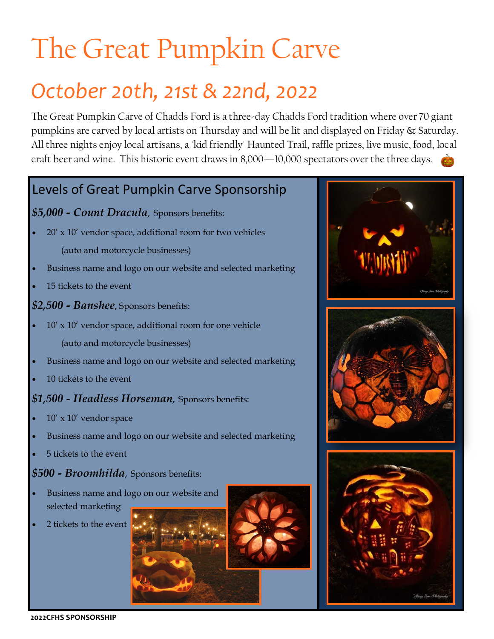## The Great Pumpkin Carve

## *October 20th, 21st & 22nd, 2022*

The Great Pumpkin Carve of Chadds Ford is a three-day Chadds Ford tradition where over 70 giant pumpkins are carved by local artists on Thursday and will be lit and displayed on Friday & Saturday. All three nights enjoy local artisans, a 'kid friendly' Haunted Trail, raffle prizes, live music, food, local craft beer and wine. This historic event draws in 8,000—10,000 spectators over the three days.

### Levels of Great Pumpkin Carve Sponsorship

### *\$5,000 - Count Dracula,* Sponsors benefits:

- $20'$  x  $10'$  vendor space, additional room for two vehicles (auto and motorcycle businesses)
- Business name and logo on our website and selected marketing
- 15 tickets to the event

*\$2,500 - Banshee*, Sponsors benefits:

- $10'$  x  $10'$  vendor space, additional room for one vehicle (auto and motorcycle businesses)
- Business name and logo on our website and selected marketing
- 10 tickets to the event

### *\$1,500 - Headless Horseman,* Sponsors benefits:

- $10'$  x  $10'$  vendor space
- Business name and logo on our website and selected marketing
- 5 tickets to the event

### *\$500 - Broomhilda,* Sponsors benefits:

- Business name and logo on our website and selected marketing
- 2 tickets to the event





**2022CFHS SPONSORSHIP**